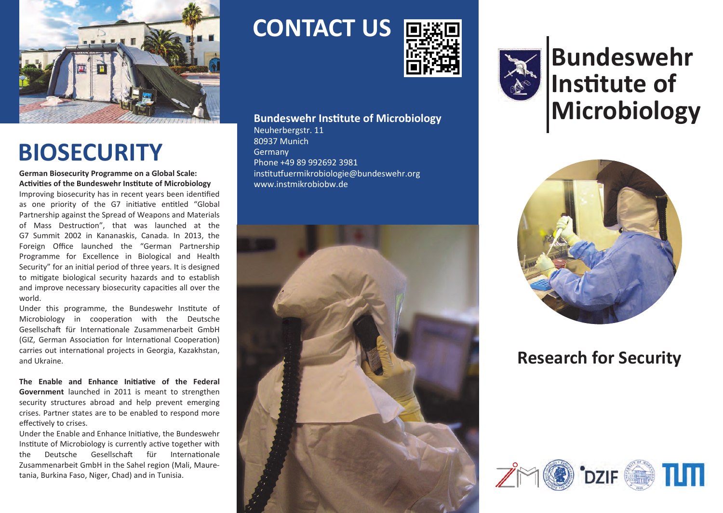

# **BIOSECURITY**

**German Biosecurity Programme on a Global Scale: Activities of the Bundeswehr Institute of Microbiology**

Improving biosecurity has in recent years been identified as one priority of the G7 initiative entitled "Global Partnership against the Spread of Weapons and Materials of Mass Destruction", that was launched at the G7 Summit 2002 in Kananaskis, Canada. In 2013, the Foreign Office launched the "German Partnership Programme for Excellence in Biological and Health Security" for an initial period of three years. It is designed to mitigate biological security hazards and to establish and improve necessary biosecurity capacities all over the world.

Under this programme, the Bundeswehr Institute of Microbiology in cooperation with the Deutsche Gesellschaft für Internationale Zusammenarbeit GmbH (GIZ, German Association for International Cooperation) carries out international projects in Georgia, Kazakhstan, and Ukraine.

**The Enable and Enhance Initiative of the Federal Government** launched in 2011 is meant to strengthen security structures abroad and help prevent emerging crises. Partner states are to be enabled to respond more effectively to crises.

Under the Enable and Enhance Initiative, the Bundeswehr Institute of Microbiology is currently active together with the Deutsche Gesellschaft für Internationale Zusammenarbeit GmbH in the Sahel region (Mali, Mauretania, Burkina Faso, Niger, Chad) and in Tunisia.

**CONTACT US**



#### **Bundeswehr Institute of Microbiology**

Neuherbergstr. 11 80937 Munich Germany Phone +49 89 992692 3981 institutfuermikrobiologie@bundeswehr.org www.instmikrobiobw.de





**Bundeswehr Institute of Microbiology**



#### **Research for Security**